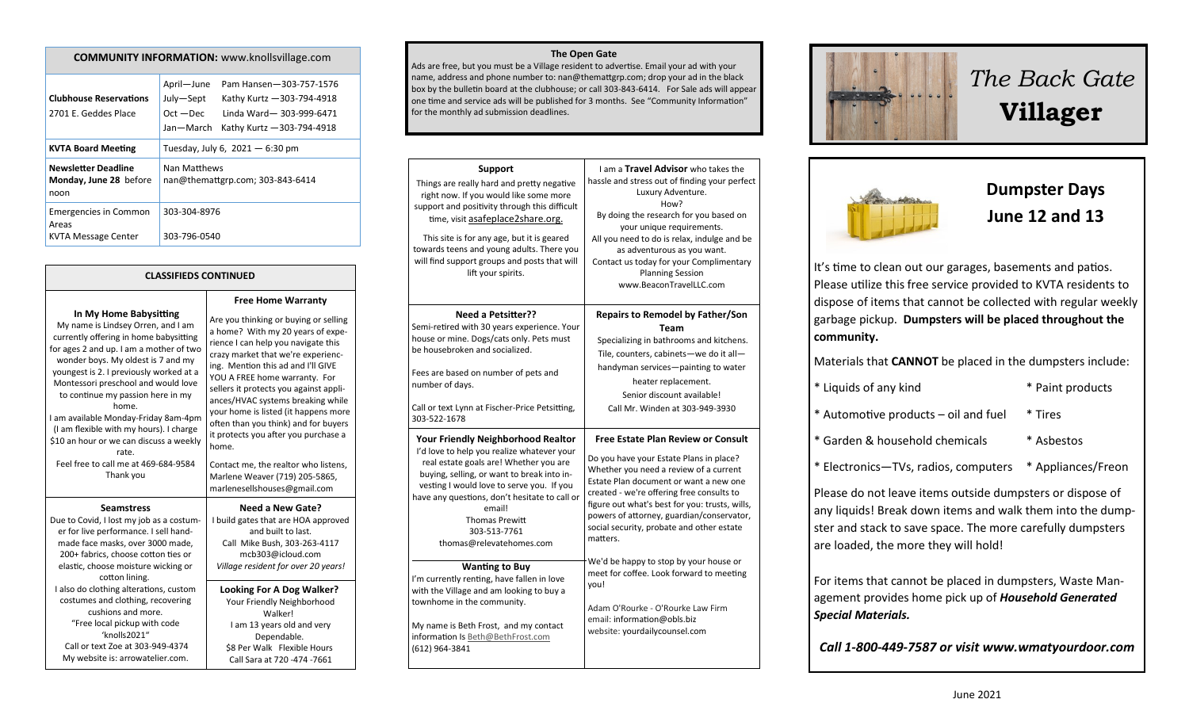| <b>COMMUNITY INFORMATION: www.knollsvillage.com</b>                 |                                                                                                                                                                       |  |  |  |
|---------------------------------------------------------------------|-----------------------------------------------------------------------------------------------------------------------------------------------------------------------|--|--|--|
| <b>Clubhouse Reservations</b><br>2701 E. Geddes Place               | April-June<br>Pam Hansen-303-757-1576<br>July-Sept<br>Kathy Kurtz - 303-794-4918<br>$Oct - Dec$<br>Linda Ward-303-999-6471<br>Jan—March<br>Kathy Kurtz - 303-794-4918 |  |  |  |
| <b>KVTA Board Meeting</b>                                           | Tuesday, July 6, $2021 - 6:30$ pm                                                                                                                                     |  |  |  |
| <b>Newsletter Deadline</b><br>Monday, June 28 before<br>noon        | Nan Matthews<br>nan@themattgrp.com; 303-843-6414                                                                                                                      |  |  |  |
| <b>Emergencies in Common</b><br>Areas<br><b>KVTA Message Center</b> | 303-304-8976<br>303-796-0540                                                                                                                                          |  |  |  |

#### **CLASSIFIEDS CONTINUED**

**Free Home Warranty** Are you thinking or buying or selling a home? With my 20 years of experience I can help you navigate this crazy market that we're experiencing. Mention this ad and I'll GIVE YOU A FREE home warranty. For sellers it protects you against appliances/HVAC systems breaking while your home is listed (it happens more often than you think) and for buyers it protects you after you purchase a

Contact me, the realtor who listens, Marlene Weaver (719) 205-5865, marlenesellshouses@gmail.com

**Need a New Gate?**

**In My Home Babysitting**

My name is Lindsey Orren, and I am currently offering in home babysitting for ages 2 and up. I am a mother of two wonder boys. My oldest is 7 and my youngest is 2. I previously worked at a Montessori preschool and would love to continue my passion here in my home. I am available Monday-Friday 8am-4pm (I am flexible with my hours). I charge \$10 an hour or we can discuss a weekly rate. Feel free to call me at 469-684-9584 Thank you **Seamstress** Due to Covid, I lost my job as a costumer for live performance. I sell handmade face masks, over 3000 made, 200+ fabrics, choose cotton ties or elastic, choose moisture wicking or cotton lining. I also do clothing alterations, custom costumes and clothing, recovering

cushions and more. "Free local pickup with code 'knolls2021" Call or text Zoe at 303-949-4374 My website is: arrowatelier.com. I build gates that are HOA approved and built to last. Call Mike Bush, 303-263-4117 mcb303@icloud.com *Village resident for over 20 years!* **Looking For A Dog Walker?** Your Friendly Neighborhood Walker! I am 13 years old and very Dependable. \$8 Per Walk Flexible Hours Call Sara at 720 -474 -7661

home.

| <b>Support</b><br>Things are really hard and pretty negative<br>right now. If you would like some more<br>support and positivity through this difficult<br>time, visit asafeplace2share.org.<br>This site is for any age, but it is geared<br>towards teens and young adults. There you<br>will find support groups and posts that will<br>lift your spirits. | I am a Travel Advisor who takes the<br>hassle and stress out of finding your perfect<br>Luxury Adventure.<br>How?<br>By doing the research for you based on<br>your unique requirements.<br>All you need to do is relax, indulge and be<br>as adventurous as you want.<br>Contact us today for your Complimentary<br><b>Planning Session</b><br>www.BeaconTravelLLC.com                                                                                                                                                                                                          |  |
|---------------------------------------------------------------------------------------------------------------------------------------------------------------------------------------------------------------------------------------------------------------------------------------------------------------------------------------------------------------|----------------------------------------------------------------------------------------------------------------------------------------------------------------------------------------------------------------------------------------------------------------------------------------------------------------------------------------------------------------------------------------------------------------------------------------------------------------------------------------------------------------------------------------------------------------------------------|--|
| <b>Need a Petsitter??</b><br>Semi-retired with 30 years experience. Your<br>house or mine. Dogs/cats only. Pets must<br>be housebroken and socialized.<br>Fees are based on number of pets and<br>number of days.<br>Call or text Lynn at Fischer-Price Petsitting,<br>303-522-1678                                                                           | <b>Repairs to Remodel by Father/Son</b><br>Team<br>Specializing in bathrooms and kitchens.<br>Tile, counters, cabinets-we do it all-<br>handyman services-painting to water<br>heater replacement.<br>Senior discount available!<br>Call Mr. Winden at 303-949-3930                                                                                                                                                                                                                                                                                                              |  |
| <b>Your Friendly Neighborhood Realtor</b><br>I'd love to help you realize whatever your<br>real estate goals are! Whether you are<br>buying, selling, or want to break into in-<br>vesting I would love to serve you. If you<br>have any questions, don't hesitate to call or<br>email!<br><b>Thomas Prewitt</b><br>303-513-7761<br>thomas@relevatehomes.com  | <b>Free Estate Plan Review or Consult</b><br>Do you have your Estate Plans in place?<br>Whether you need a review of a current<br>Estate Plan document or want a new one<br>created - we're offering free consults to<br>figure out what's best for you: trusts, wills,<br>powers of attorney, guardian/conservator,<br>social security, probate and other estate<br>matters.<br>We'd be happy to stop by your house or<br>meet for coffee. Look forward to meeting<br>you!<br>Adam O'Rourke - O'Rourke Law Firm<br>email: information@obls.biz<br>website: yourdailycounsel.com |  |
| <b>Wanting to Buy</b><br>I'm currently renting, have fallen in love<br>with the Village and am looking to buy a<br>townhome in the community.<br>My name is Beth Frost, and my contact<br>information Is Beth@BethFrost.com<br>(612) 964-3841                                                                                                                 |                                                                                                                                                                                                                                                                                                                                                                                                                                                                                                                                                                                  |  |

**The Open Gate**  Ads are free, but you must be a Village resident to advertise. Email your ad with your name, address and phone number to: nan@themattgrp.com; drop your ad in the black

for the monthly ad submission deadlines.



# *The Back Gate*  **Villager**



## **Dumpster Days June 12 and 13**

It's time to clean out our garages, basements and patios. Please utilize this free service provided to KVTA residents to dispose of items that cannot be collected with regular weekly garbage pickup. **Dumpsters will be placed throughout the community.** 

Materials that **CANNOT** be placed in the dumpsters include:

| * Liquids of any kind                | * Paint products |
|--------------------------------------|------------------|
| * Automotive products - oil and fuel | * Tires          |
| * Garden & household chemicals       | * Asbestos       |

\* Electronics—TVs, radios, computers \* Appliances/Freon

Please do not leave items outside dumpsters or dispose of any liquids! Break down items and walk them into the dumpster and stack to save space. The more carefully dumpsters are loaded, the more they will hold!

For items that cannot be placed in dumpsters, Waste Management provides home pick up of *Household Generated Special Materials.* 

*Call 1-800-449-7587 or visit www.wmatyourdoor.com*

#### box by the bulletin board at the clubhouse; or call 303-843-6414. For Sale ads will appear one time and service ads will be published for 3 months. See "Community Information"